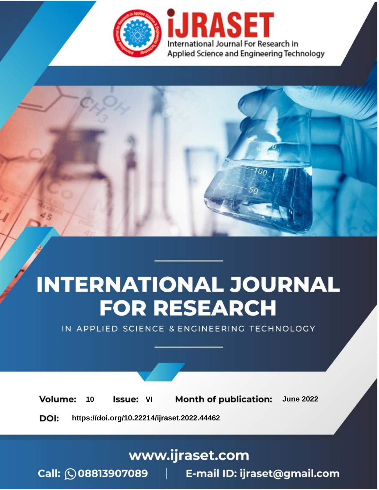

# **INTERNATIONAL JOURNAL FOR RESEARCH**

IN APPLIED SCIENCE & ENGINEERING TECHNOLOGY

**Month of publication: Volume:** 10 **Issue: VI June 2022** 

DOI: https://doi.org/10.22214/ijraset.2022.44462

## www.ijraset.com

Call: 008813907089 | E-mail ID: ijraset@gmail.com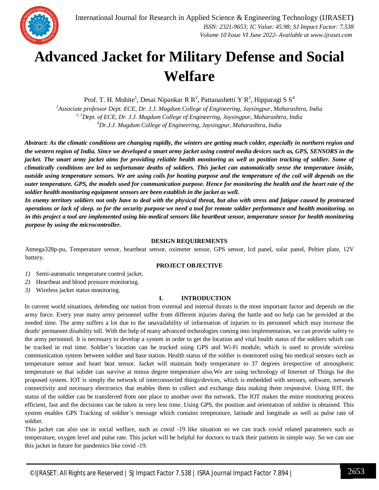

## **Advanced Jacket for Military Defense and Social Welfare**

Prof. T. H. Mohite<sup>1</sup>, Desai Nipankar R R<sup>2</sup>, Pattanashetti Y R<sup>3</sup>, Hipparagi S S<sup>4</sup>

*<sup>1</sup>Associate professor Dept. ECE, Dr. J.J. Magdum College of Engineering, Jaysingpur, Maharashtra, India 2, 3Dept. of ECE, Dr. J.J. Magdum College of Engineering, Jaysingpur, Maharashtra, India <sup>4</sup>Dr.J.J. Magdum College of Engineering, Jaysingpur, Maharashtra, India*

*Abstract: As the climatic conditions are changing rapidly, the winters are getting much colder, especially in northern region and the western region of India. Since we developed a smart army jacket using control media devices such as, GPS, SENSORS in the jacket. The smart army jacket aims for providing reliable health monitoring as well as position tracking of soldier. Some of climatically conditions are led to unfortunate deaths of soldiers. This jacket can automatically sense the temperature inside, outside using temperature sensors. We are using coils for heating purpose and the temperature of the coil will depends on the outer temperature. GPS, the models used for communication purpose. Hence for monitoring the health and the heart rate of the soldier health monitoring equipment sensors are been establish in the jacket as well.* 

*In enemy territory soldiers not only have to deal with the physical threat, but also with stress and fatigue caused by protracted operations or lack of sleep. so for the security purpose we need a tool for remote soldier performance and health monitoring. so in this project a tool are implemented using bio medical sensors like heartbeat sensor, temperature sensor for health monitoring purpose by using the microcontroller.* 

#### **DESIGN REQUIREMENTS**

Atmega328p-pu, Temperature sensor, heartbeat sensor, oximeter sensor, GPS sensor, lcd panel, solar panel, Peltier plate, 12V battery.

#### **PROJECT OBJECTIVE**

- *1)* Semi-automatic temperature control jacket.
- *2)* Heartbeat and blood pressure monitoring.
- *3)* Wireless jacket status monitoring.

#### **I. INTRODUCTION**

In current world situations, defending our nation from external and internal threats is the most important factor and depends on the army force. Every year many army personnel suffer from different injuries during the battle and no help can be provided at the needed time. The army suffers a lot due to the unavailability of information of injuries to its personnel which may increase the death/ permanent disability toll. With the help of many advanced technologies coming into implementation, we can provide safety to the army personnel. It is necessary to develop a system in order to get the location and vital health status of the soldiers which can be tracked in real time. Soldier's location can be tracked using GPS and Wi-Fi module, which is used to provide wireless communication system between soldier and base station. Health status of the soldier is monitored using bio medical sensors such as temperature sensor and heart beat sensor. Jacket will maintain body temperature to 37 degrees irrespective of atmospheric temperature so that solider can survive at minus degree temperature also.We are using technology of Internet of Things for the proposed system. IOT is simply the network of interconnected things/devices, which is embedded with sensors, software, network connectivity and necessary electronics that enables them to collect and exchange data making them responsive. Using IOT, the status of the soldier can be transferred from one place to another over the network. The IOT makes the entire monitoring process efficient, fast and the decisions can be taken in very less time. Using GPS, the position and orientation of soldier is obtained. This system enables GPS Tracking of soldier's message which contains temperature, latitude and longitude as well as pulse rate of soldier.

This jacket can also use in social welfare, such as covid -19 like situation so we can track covid related parameters such as temperature, oxygen level and pulse rate. This jacket will be helpful for doctors to track their patients in simple way. So we can use this jacket in future for pandemics like covid -19.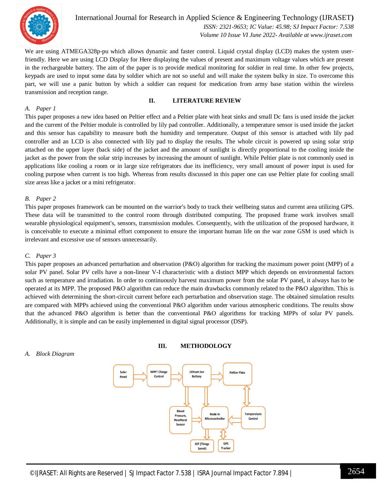

International Journal for Research in Applied Science & Engineering Technology (IJRASET**)**  *ISSN: 2321-9653; IC Value: 45.98; SJ Impact Factor: 7.538 Volume 10 Issue VI June 2022- Available at www.ijraset.com*

We are using ATMEGA328p-pu which allows dynamic and faster control. Liquid crystal display (LCD) makes the system userfriendly. Here we are using LCD Display for Here displaying the values of present and maximum voltage values which are present in the rechargeable battery. The aim of the paper is to provide medical monitoring for soldier in real time. In other few projects, keypads are used to input some data by soldier which are not so useful and will make the system bulky in size. To overcome this part, we will use a panic button by which a soldier can request for medication from army base station within the wireless transmission and reception range.

**II. LITERATURE REVIEW** 

#### *A. Paper 1*

This paper proposes a new idea based on Peltier effect and a Peltier plate with heat sinks and small Dc fans is used inside the jacket and the current of the Peltier module is controlled by lily pad controller. Additionally, a temperature sensor is used inside the jacket and this sensor has capability to measure both the humidity and temperature. Output of this sensor is attached with lily pad controller and an LCD is also connected with lily pad to display the results. The whole circuit is powered up using solar strip attached on the upper layer (back side) of the jacket and the amount of sunlight is directly proportional to the cooling inside the jacket as the power from the solar strip increases by increasing the amount of sunlight. While Peltier plate is not commonly used in applications like cooling a room or in large size refrigerators due its inefficiency, very small amount of power input is used for cooling purpose when current is too high. Whereas from results discussed in this paper one can use Peltier plate for cooling small size areas like a jacket or a mini refrigerator.

#### *B. Paper 2*

This paper proposes framework can be mounted on the warrior's body to track their wellbeing status and current area utilizing GPS. These data will be transmitted to the control room through distributed computing. The proposed frame work involves small wearable physiological equipment's, sensors, transmission modules. Consequently, with the utilization of the proposed hardware, it is conceivable to execute a minimal effort component to ensure the important human life on the war zone GSM is used which is irrelevant and excessive use of sensors unnecessarily.

#### *C. Paper 3*

This paper proposes an advanced perturbation and observation (P&O) algorithm for tracking the maximum power point (MPP) of a solar PV panel. Solar PV cells have a non-linear V-I characteristic with a distinct MPP which depends on environmental factors such as temperature and irradiation. In order to continuously harvest maximum power from the solar PV panel, it always has to be operated at its MPP. The proposed P&O algorithm can reduce the main drawbacks commonly related to the P&O algorithm. This is achieved with determining the short-circuit current before each perturbation and observation stage. The obtained simulation results are compared with MPPs achieved using the conventional P&O algorithm under various atmospheric conditions. The results show that the advanced P&O algorithm is better than the conventional P&O algorithms for tracking MPPs of solar PV panels. Additionally, it is simple and can be easily implemented in digital signal processor (DSP).

**III. METHODOLOGY**

### *A. Block Diagram*

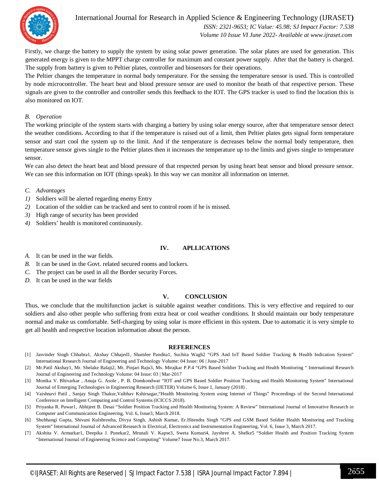

### International Journal for Research in Applied Science & Engineering Technology (IJRASET**)**

 *ISSN: 2321-9653; IC Value: 45.98; SJ Impact Factor: 7.538 Volume 10 Issue VI June 2022- Available at www.ijraset.com*

Firstly, we charge the battery to supply the system by using solar power generation. The solar plates are used for generation. This generated energy is given to the MPPT charge controller for maximum and constant power supply. After that the battery is charged. The supply from battery is given to Peltier plates, controller and biosensors for their operations.

The Peltier changes the temperature in normal body temperature. For the sensing the temperature sensor is used. This is controlled by node microcontroller. The heart beat and blood pressure sensor are used to monitor the heath of that respective person. These signals are given to the controller and controller sends this feedback to the IOT. The GPS tracker is used to find the location this is also monitored on IOT.

#### *B. Operation*

The working principle of the system starts with charging a battery by using solar energy source, after that temperature sensor detect the weather conditions. According to that if the temperature is raised out of a limit, then Peltier plates gets signal form temperature sensor and start cool the system up to the limit. And if the temperature is decreases below the normal body temperature, then temperature sensor gives single to the Peltier plates then it increases the temperature up to the limits and gives single to temperature sensor.

We can also detect the heart beat and blood pressure of that respected person by using heart beat sensor and blood pressure sensor. We can see this information on IOT (things speak). In this way we can monitor all information on internet.

- *C. Advantages*
- *1)* Soldiers will be alerted regarding enemy Entry
- *2)* Location of the soldier can be tracked and sent to control room if he is missed.
- *3)* High range of security has been provided
- *4)* Soldiers' health is monitored continuously.

#### **IV. APLLICATIONS**

- *A.* It can be used in the war fields.
- *B.* It can be used in the Govt. related secured rooms and lockers.
- *C.* The project can be used in all the Border security Forces.
- *D.* It can be used in the war fields

#### **V. CONCLUSION**

Thus, we conclude that the multifunction jacket is suitable against weather conditions. This is very effective and required to our soldiers and also other people who suffering from extra heat or cool weather conditions. It should maintain our body temperature normal and make us comfortable. Self-charging by using solar is more efficient in this system. Due to automatic it is very simple to get all health and respective location information about the person.

#### **REFERENCES**

- [1] Jasvinder Singh Chhabra1, Akshay Chhajed1, Shamlee Pandita1, Suchita Wagh2 "GPS And IoT Based Soldier Tracking & Health Indication System" International Research Journal of Engineering and Technology Volume: 04 Issue: 06 | June-2017
- [2] Mr.Patil Akshay1, Mr. Shelake Balaji2, Mr. Pinjari Raju3, Ms. Mirajkar P.P.4 "GPS Based Soldier Tracking and Health Monitoring " International Research Journal of Engineering and Technology Volume: 04 Issue: 03 | Mar-2017
- [3] Monika V. Bhivarkar , Anuja G. Asole , P. B. Domkondwar "IOT and GPS Based Soldier Position Tracking and Health Monitoring System" International Journal of Emerging Technologies in Engineering Research (IJETER) Volume 6, Issue 1, January (2018) .
- [4] Vaishnavi Patil , Sanjay Singh Thakur,Vaibhav Kshirsagar,"Health Monitoring System using Internet of Things" Proceedings of the Second International Conference on Intelligent Computing and Control Systems (ICICCS 2018).
- [5] Priyanka R. Pawar1, Abhijeet B. Desai "Soldier Position Tracking and Health Monitoring System: A Review" International Journal of Innovative Research in Computer and Communication Engineering, Vol. 6, Issue3, March 2018.
- [6] Shubhangi Gupta, Shivani Kulshrestha, Divya Singh, Ashish Kumar, Er.Hitendra Singh "GPS and GSM Based Soldier Health Monitoring and Tracking System" International Journal of Advanced Research in Electrical, Electronics and Instrumentation Engineering, Vol. 6, Issue 3, March 2017.
- [7] Akshita V. Armarkar1, Deepika J. Punekar2, Mrunali V. Kapse3, Sweta Kumari4, Jayshree A. Shelke5 "Soldier Health and Position Tracking System "International Journal of Engineering Science and Computing" Volume7 Issue No.3, March 2017.